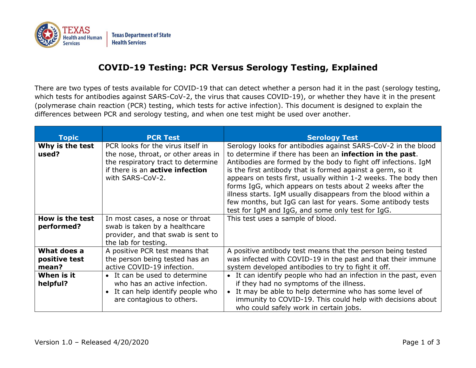

## **COVID-19 Testing: PCR Versus Serology Testing, Explained**

There are two types of tests available for COVID-19 that can detect whether a person had it in the past (serology testing, which tests for antibodies against SARS-CoV-2, the virus that causes COVID-19), or whether they have it in the present (polymerase chain reaction (PCR) testing, which tests for active infection). This document is designed to explain the differences between PCR and serology testing, and when one test might be used over another.

| <b>Topic</b>                                                    | <b>PCR Test</b>                                                                                                                                                                                      | <b>Serology Test</b>                                                                                                                                                                                                                                                                                                                                                                                                                                                                                                                                                            |
|-----------------------------------------------------------------|------------------------------------------------------------------------------------------------------------------------------------------------------------------------------------------------------|---------------------------------------------------------------------------------------------------------------------------------------------------------------------------------------------------------------------------------------------------------------------------------------------------------------------------------------------------------------------------------------------------------------------------------------------------------------------------------------------------------------------------------------------------------------------------------|
| Why is the test<br>used?                                        | PCR looks for the virus itself in<br>the nose, throat, or other areas in<br>the respiratory tract to determine<br>if there is an <b>active infection</b><br>with SARS-CoV-2.                         | Serology looks for antibodies against SARS-CoV-2 in the blood<br>to determine if there has been an infection in the past.<br>Antibodies are formed by the body to fight off infections. IgM<br>is the first antibody that is formed against a germ, so it<br>appears on tests first, usually within 1-2 weeks. The body then<br>forms IgG, which appears on tests about 2 weeks after the<br>illness starts. IgM usually disappears from the blood within a<br>few months, but IgG can last for years. Some antibody tests<br>test for IgM and IgG, and some only test for IgG. |
| How is the test<br>performed?                                   | In most cases, a nose or throat<br>swab is taken by a healthcare<br>provider, and that swab is sent to<br>the lab for testing.                                                                       | This test uses a sample of blood.                                                                                                                                                                                                                                                                                                                                                                                                                                                                                                                                               |
| What does a<br>positive test<br>mean?<br>When is it<br>helpful? | A positive PCR test means that<br>the person being tested has an<br>active COVID-19 infection.<br>• It can be used to determine<br>who has an active infection.<br>• It can help identify people who | A positive antibody test means that the person being tested<br>was infected with COVID-19 in the past and that their immune<br>system developed antibodies to try to fight it off.<br>It can identify people who had an infection in the past, even<br>$\bullet$<br>if they had no symptoms of the illness.<br>It may be able to help determine who has some level of                                                                                                                                                                                                           |
|                                                                 | are contagious to others.                                                                                                                                                                            | immunity to COVID-19. This could help with decisions about<br>who could safely work in certain jobs.                                                                                                                                                                                                                                                                                                                                                                                                                                                                            |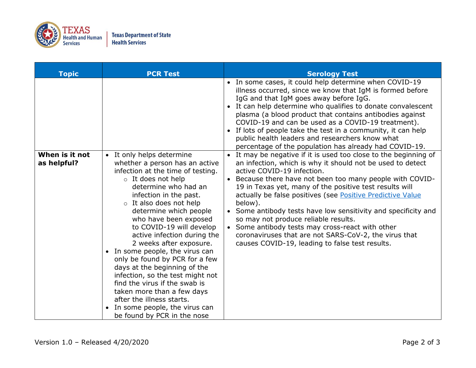

| <b>Topic</b>                  | <b>PCR Test</b>                                                                                                                                                                                                                                                                                                                                                                                                                                                                                                                                                                                | <b>Serology Test</b>                                                                                                                                                                                                                                                                                                                                                                                                                                                                                                                                                                                                                                            |
|-------------------------------|------------------------------------------------------------------------------------------------------------------------------------------------------------------------------------------------------------------------------------------------------------------------------------------------------------------------------------------------------------------------------------------------------------------------------------------------------------------------------------------------------------------------------------------------------------------------------------------------|-----------------------------------------------------------------------------------------------------------------------------------------------------------------------------------------------------------------------------------------------------------------------------------------------------------------------------------------------------------------------------------------------------------------------------------------------------------------------------------------------------------------------------------------------------------------------------------------------------------------------------------------------------------------|
| When is it not<br>as helpful? | • It only helps determine<br>whether a person has an active                                                                                                                                                                                                                                                                                                                                                                                                                                                                                                                                    | • In some cases, it could help determine when COVID-19<br>illness occurred, since we know that IgM is formed before<br>IgG and that IgM goes away before IgG.<br>• It can help determine who qualifies to donate convalescent<br>plasma (a blood product that contains antibodies against<br>COVID-19 and can be used as a COVID-19 treatment).<br>• If lots of people take the test in a community, it can help<br>public health leaders and researchers know what<br>percentage of the population has already had COVID-19.<br>• It may be negative if it is used too close to the beginning of<br>an infection, which is why it should not be used to detect |
|                               | infection at the time of testing.<br>$\circ$ It does not help<br>determine who had an<br>infection in the past.<br>$\circ$ It also does not help<br>determine which people<br>who have been exposed<br>to COVID-19 will develop<br>active infection during the<br>2 weeks after exposure.<br>• In some people, the virus can<br>only be found by PCR for a few<br>days at the beginning of the<br>infection, so the test might not<br>find the virus if the swab is<br>taken more than a few days<br>after the illness starts.<br>In some people, the virus can<br>be found by PCR in the nose | active COVID-19 infection.<br>• Because there have not been too many people with COVID-<br>19 in Texas yet, many of the positive test results will<br>actually be false positives (see Positive Predictive Value<br>below).<br>• Some antibody tests have low sensitivity and specificity and<br>so may not produce reliable results.<br>• Some antibody tests may cross-react with other<br>coronaviruses that are not SARS-CoV-2, the virus that<br>causes COVID-19, leading to false test results.                                                                                                                                                           |